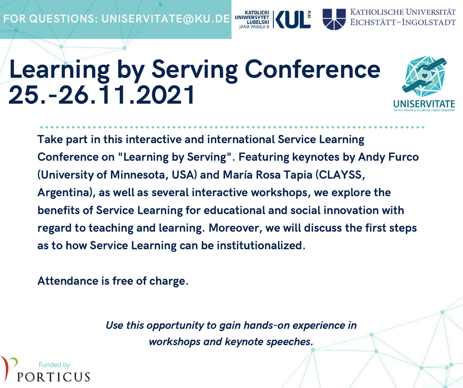## Learning by Serving Conference 25.-26.11.2021



KATHOLISCHE UNIVERSITÄT EICHSTÄTT-INGOLSTADT

Take part in this interactive and international Service Learning Conference on "Learning by Serving". Featuring keynotes by Andy Furco (University of Minnesota, USA) and María Rosa Tapia (CLAYSS, Argentina), as well as several interactive workshops, we explore the benefits of Service Learning for educational and social innovation with regard to teaching and learning. Moreover, we will discuss the first steps as to how Service Learning can be institutionalized.

Attendance is free of charge.

Use this opportunity to gain hands-on experience in workshops and keynote speeches.

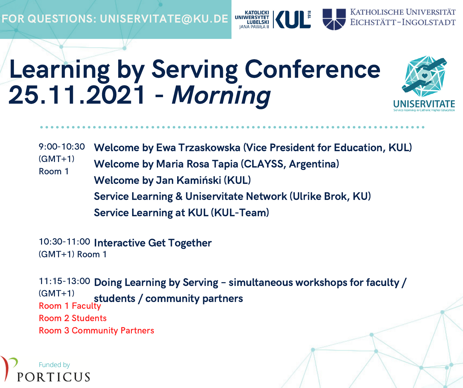FOR QUESTIONS: UNISERVITATE@KU.DE UNINGRAVIET KATOLICKI KATOLICKI



KATHOLISCHE UNIVERSITÄT EICHSTÄTT-INGOLSTADT

9:00-10:30  $(GMT+1)$ Room 1 Welcome by Ewa Trzaskowska (Vice President for Education, KUL) Welcome by Maria Rosa Tapia (CLAYSS, Argentina) Welcome by Jan Kamiński (KUL) Service Learning & Uniservitate Network (Ulrike Brok, KU) Service Learning at KUL (KUL-Team)

10:30-11:00 Interactive Get Together (GMT+1) Room 1

11:15-13:00 Doing Learning by Serving – simultaneous workshops for faculty / (GMT+1) Room 1 Faculty Room 2 Students Room 3 Community Partners students / community partners

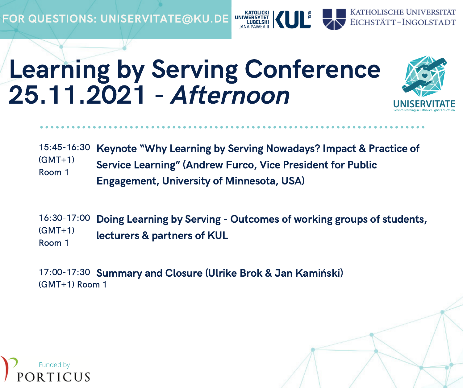FOR QUESTIONS: UNISERVITATE@KU.DE



## Learning by Serving Conference 25.11.2021 - Afternoon



15:45-16:30  $(GMT+1)$ Room 1 Keynote "Why Learning by Serving Nowadays? Impact & Practice of Service Learning" (Andrew Furco, Vice President for Public Engagement, University of Minnesota, USA)

16:30-17:00  $(GMT+1)$ Room 1 Doing Learning by Serving - Outcomes of working groups of students, lecturers & partners of KUL

17:00-17:30 Summary and Closure (Ulrike Brok & Jan Kamiński)(GMT+1) Room 1

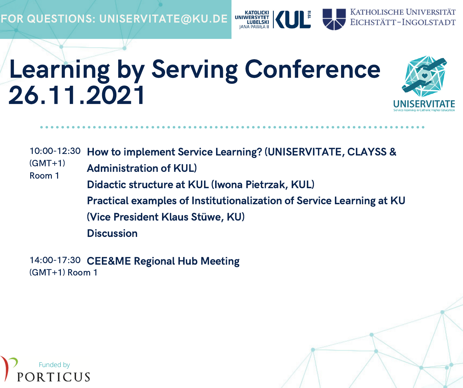

## Learning by Serving Conference 26.11.2021



10:00-12:30 How to implement Service Learning? (UNISERVITATE, CLAYSS &

(GMT+1) Room 1 Administration of KUL)

Didactic structure at KUL (Iwona Pietrzak, KUL)

Practical examples of Institutionalization of Service Learning at KU

(Vice President Klaus Stüwe, KU)

**Discussion** 

14:00-17:30 CEE&ME Regional Hub Meeting(GMT+1) Room 1